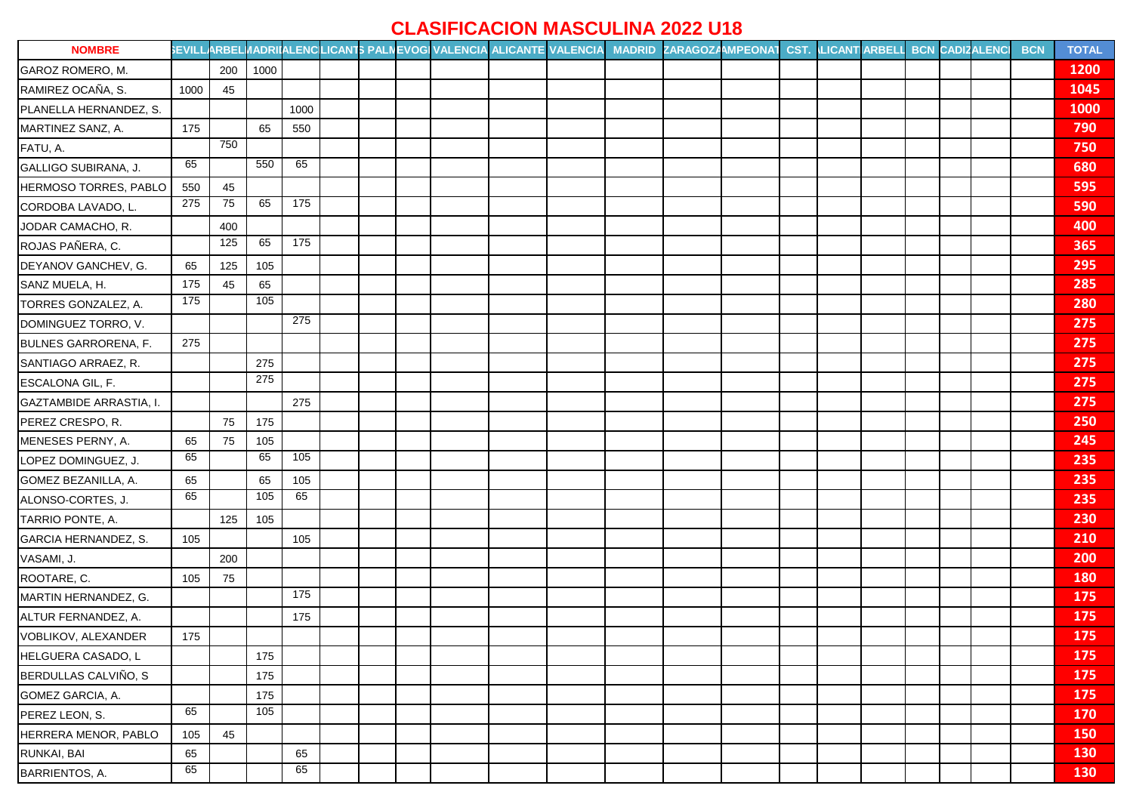## **CLASIFICACION MASCULINA 2022 U18**

| <b>NOMBRE</b>                  |      |     |      |                 |  |  |  | SEVILLARBELI/ADRIIALENCLICANTS PALNEVOGI VALENCIA ALICANTE VALENCIA MADRID ZARAGOZAMPEONAT CST. LICANTIARBELI BCN CADIZALENCI |  |  |  | <b>BCN</b> | <b>TOTAL</b> |
|--------------------------------|------|-----|------|-----------------|--|--|--|-------------------------------------------------------------------------------------------------------------------------------|--|--|--|------------|--------------|
| GAROZ ROMERO, M.               |      | 200 | 1000 |                 |  |  |  |                                                                                                                               |  |  |  |            | <b>1200</b>  |
| RAMIREZ OCAÑA, S.              | 1000 | 45  |      |                 |  |  |  |                                                                                                                               |  |  |  |            | 1045         |
| PLANELLA HERNANDEZ, S.         |      |     |      | 1000            |  |  |  |                                                                                                                               |  |  |  |            | <b>1000</b>  |
| MARTINEZ SANZ, A.              | 175  |     | 65   | 550             |  |  |  |                                                                                                                               |  |  |  |            | 790          |
| FATU, A.                       |      | 750 |      |                 |  |  |  |                                                                                                                               |  |  |  |            | 750          |
| GALLIGO SUBIRANA, J.           | 65   |     | 550  | 65              |  |  |  |                                                                                                                               |  |  |  |            | 680          |
| HERMOSO TORRES, PABLO          | 550  | 45  |      |                 |  |  |  |                                                                                                                               |  |  |  |            | 595          |
| CORDOBA LAVADO, L.             | 275  | 75  | 65   | 175             |  |  |  |                                                                                                                               |  |  |  |            | 590          |
| JODAR CAMACHO, R.              |      | 400 |      |                 |  |  |  |                                                                                                                               |  |  |  |            | 400          |
| ROJAS PAÑERA, C.               |      | 125 | 65   | $\frac{175}{2}$ |  |  |  |                                                                                                                               |  |  |  |            | 365          |
| DEYANOV GANCHEV, G.            | 65   | 125 | 105  |                 |  |  |  |                                                                                                                               |  |  |  |            | 295          |
| SANZ MUELA, H.                 | 175  | 45  | 65   |                 |  |  |  |                                                                                                                               |  |  |  |            | 285          |
| TORRES GONZALEZ, A.            | 175  |     | 105  |                 |  |  |  |                                                                                                                               |  |  |  |            | 280          |
| DOMINGUEZ TORRO, V.            |      |     |      | 275             |  |  |  |                                                                                                                               |  |  |  |            | 275          |
| <b>BULNES GARRORENA, F.</b>    | 275  |     |      |                 |  |  |  |                                                                                                                               |  |  |  |            | 275          |
| SANTIAGO ARRAEZ, R.            |      |     | 275  |                 |  |  |  |                                                                                                                               |  |  |  |            | 275          |
| ESCALONA GIL, F.               |      |     | 275  |                 |  |  |  |                                                                                                                               |  |  |  |            | 275          |
| <b>GAZTAMBIDE ARRASTIA, I.</b> |      |     |      | 275             |  |  |  |                                                                                                                               |  |  |  |            | 275          |
| PEREZ CRESPO, R.               |      | 75  | 175  |                 |  |  |  |                                                                                                                               |  |  |  |            | 250          |
| MENESES PERNY, A.              | 65   | 75  | 105  |                 |  |  |  |                                                                                                                               |  |  |  |            | 245          |
| LOPEZ DOMINGUEZ, J.            | 65   |     | 65   | $\frac{105}{2}$ |  |  |  |                                                                                                                               |  |  |  |            | 235          |
| GOMEZ BEZANILLA, A.            | 65   |     | 65   | 105             |  |  |  |                                                                                                                               |  |  |  |            | 235          |
| ALONSO-CORTES, J.              | 65   |     | 105  | 65              |  |  |  |                                                                                                                               |  |  |  |            | 235          |
| TARRIO PONTE, A.               |      | 125 | 105  |                 |  |  |  |                                                                                                                               |  |  |  |            | 230          |
| GARCIA HERNANDEZ, S.           | 105  |     |      | 105             |  |  |  |                                                                                                                               |  |  |  |            | 210          |
| VASAMI, J.                     |      | 200 |      |                 |  |  |  |                                                                                                                               |  |  |  |            | 200          |
| ROOTARE, C.                    | 105  | 75  |      |                 |  |  |  |                                                                                                                               |  |  |  |            | <b>180</b>   |
| MARTIN HERNANDEZ, G.           |      |     |      | 175             |  |  |  |                                                                                                                               |  |  |  |            | 175          |
| ALTUR FERNANDEZ, A.            |      |     |      | 175             |  |  |  |                                                                                                                               |  |  |  |            | <b>175</b>   |
| VOBLIKOV, ALEXANDER            | 175  |     |      |                 |  |  |  |                                                                                                                               |  |  |  |            | 175          |
| HELGUERA CASADO, L             |      |     | 175  |                 |  |  |  |                                                                                                                               |  |  |  |            | 175          |
| BERDULLAS CALVIÑO, S           |      |     | 175  |                 |  |  |  |                                                                                                                               |  |  |  |            | 175          |
| GOMEZ GARCIA, A.               |      |     | 175  |                 |  |  |  |                                                                                                                               |  |  |  |            | 175          |
| PEREZ LEON, S.                 | 65   |     | 105  |                 |  |  |  |                                                                                                                               |  |  |  |            | <b>170</b>   |
| HERRERA MENOR, PABLO           | 105  | 45  |      |                 |  |  |  |                                                                                                                               |  |  |  |            | 150          |
| RUNKAI, BAI                    | 65   |     |      | 65              |  |  |  |                                                                                                                               |  |  |  |            | 130          |
| BARRIENTOS, A.                 | 65   |     |      | 65              |  |  |  |                                                                                                                               |  |  |  |            | 130          |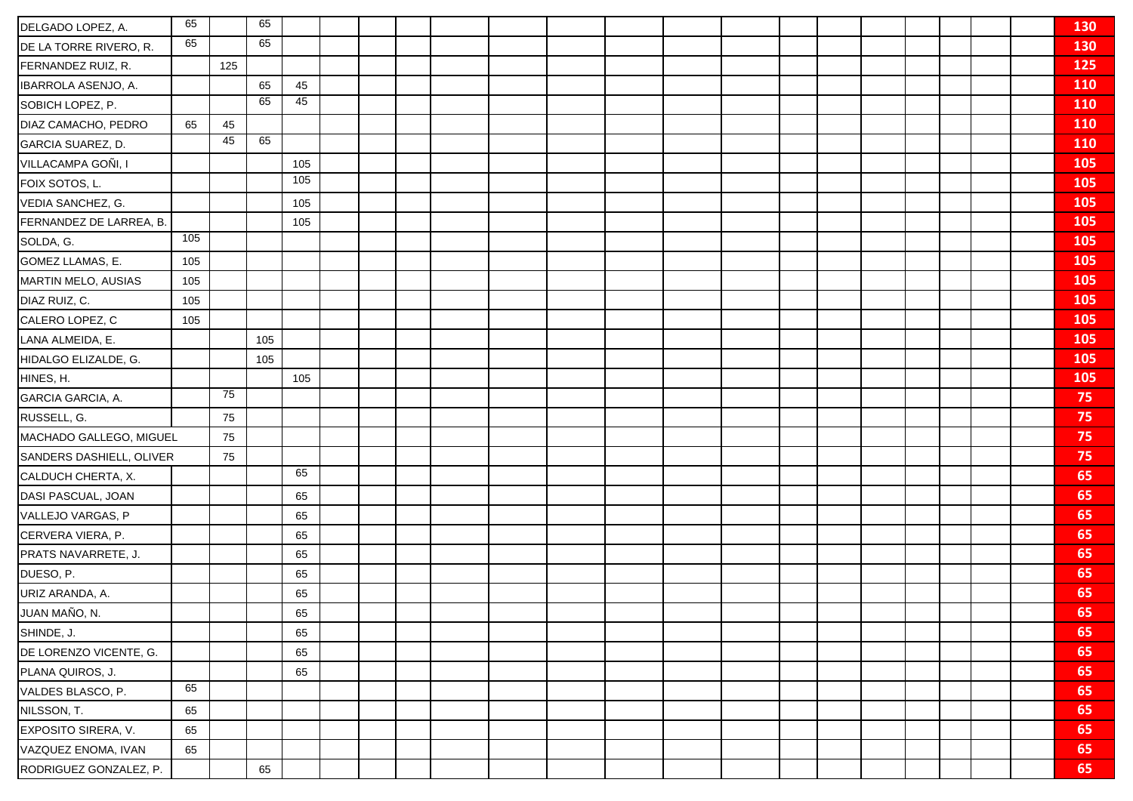| DELGADO LOPEZ, A.        | 65  |     | 65  |     |  |  |  |  |  |  |  |  | 130        |
|--------------------------|-----|-----|-----|-----|--|--|--|--|--|--|--|--|------------|
| DE LA TORRE RIVERO, R.   | 65  |     | 65  |     |  |  |  |  |  |  |  |  | 130        |
| FERNANDEZ RUIZ, R.       |     | 125 |     |     |  |  |  |  |  |  |  |  | 125        |
| IBARROLA ASENJO, A.      |     |     | 65  | 45  |  |  |  |  |  |  |  |  | 110        |
| SOBICH LOPEZ, P.         |     |     | 65  | 45  |  |  |  |  |  |  |  |  | <b>110</b> |
| DIAZ CAMACHO, PEDRO      | 65  | 45  |     |     |  |  |  |  |  |  |  |  | 110        |
| GARCIA SUAREZ, D.        |     | 45  | 65  |     |  |  |  |  |  |  |  |  | <b>110</b> |
| VILLACAMPA GOÑI, I       |     |     |     | 105 |  |  |  |  |  |  |  |  | 105        |
| FOIX SOTOS, L.           |     |     |     | 105 |  |  |  |  |  |  |  |  | 105        |
| VEDIA SANCHEZ, G.        |     |     |     | 105 |  |  |  |  |  |  |  |  | 105        |
| FERNANDEZ DE LARREA, B.  |     |     |     | 105 |  |  |  |  |  |  |  |  | 105        |
| SOLDA, G.                | 105 |     |     |     |  |  |  |  |  |  |  |  | 105        |
| GOMEZ LLAMAS, E.         | 105 |     |     |     |  |  |  |  |  |  |  |  | 105        |
| MARTIN MELO, AUSIAS      | 105 |     |     |     |  |  |  |  |  |  |  |  | 105        |
| DIAZ RUIZ, C.            | 105 |     |     |     |  |  |  |  |  |  |  |  | 105        |
| CALERO LOPEZ, C          | 105 |     |     |     |  |  |  |  |  |  |  |  | 105        |
| LANA ALMEIDA, E.         |     |     | 105 |     |  |  |  |  |  |  |  |  | 105        |
| HIDALGO ELIZALDE, G.     |     |     | 105 |     |  |  |  |  |  |  |  |  | 105        |
| HINES, H.                |     |     |     | 105 |  |  |  |  |  |  |  |  | 105        |
| GARCIA GARCIA, A.        |     | 75  |     |     |  |  |  |  |  |  |  |  | 75         |
| RUSSELL, G.              |     | 75  |     |     |  |  |  |  |  |  |  |  | 75         |
| MACHADO GALLEGO, MIGUEL  |     | 75  |     |     |  |  |  |  |  |  |  |  | 75         |
| SANDERS DASHIELL, OLIVER |     | 75  |     |     |  |  |  |  |  |  |  |  | 75         |
| CALDUCH CHERTA, X.       |     |     |     | 65  |  |  |  |  |  |  |  |  | 65         |
| DASI PASCUAL, JOAN       |     |     |     | 65  |  |  |  |  |  |  |  |  | 65         |
| VALLEJO VARGAS, P        |     |     |     | 65  |  |  |  |  |  |  |  |  | 65         |
| CERVERA VIERA, P.        |     |     |     | 65  |  |  |  |  |  |  |  |  | 65         |
| PRATS NAVARRETE, J.      |     |     |     | 65  |  |  |  |  |  |  |  |  | 65         |
| DUESO, P.                |     |     |     | 65  |  |  |  |  |  |  |  |  | 65         |
| URIZ ARANDA, A.          |     |     |     | 65  |  |  |  |  |  |  |  |  | 65         |
| JUAN MAÑO, N.            |     |     |     | 65  |  |  |  |  |  |  |  |  | 65         |
| SHINDE, J.               |     |     |     | 65  |  |  |  |  |  |  |  |  | 65         |
| DE LORENZO VICENTE, G.   |     |     |     | 65  |  |  |  |  |  |  |  |  | 65         |
| PLANA QUIROS, J.         |     |     |     | 65  |  |  |  |  |  |  |  |  | 65         |
| VALDES BLASCO, P.        | 65  |     |     |     |  |  |  |  |  |  |  |  | 65         |
| NILSSON, T.              | 65  |     |     |     |  |  |  |  |  |  |  |  | 65         |
| EXPOSITO SIRERA, V.      | 65  |     |     |     |  |  |  |  |  |  |  |  | 65         |
| VAZQUEZ ENOMA, IVAN      | 65  |     |     |     |  |  |  |  |  |  |  |  | 65         |
| RODRIGUEZ GONZALEZ, P.   |     |     | 65  |     |  |  |  |  |  |  |  |  | 65         |